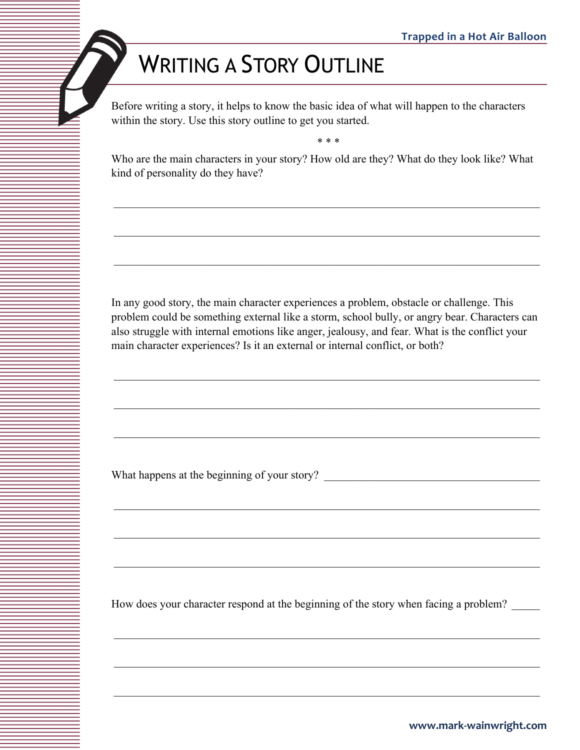## WRITING A STORY OUTLINE

Before writing a story, it helps to know the basic idea of what will happen to the characters within the story. Use this story outline to get you started.

\* \* \*

Who are the main characters in your story? How old are they? What do they look like? What kind of personality do they have?

In any good story, the main character experiences a problem, obstacle or challenge. This problem could be something external like a storm, school bully, or angry bear. Characters can also struggle with internal emotions like anger, jealousy, and fear. What is the conflict your main character experiences? Is it an external or internal conflict, or both?

 $\_$  , and the set of the set of the set of the set of the set of the set of the set of the set of the set of the set of the set of the set of the set of the set of the set of the set of the set of the set of the set of th

 $\_$  , and the set of the set of the set of the set of the set of the set of the set of the set of the set of the set of the set of the set of the set of the set of the set of the set of the set of the set of the set of th

What happens at the beginning of your story?

How does your character respond at the beginning of the story when facing a problem?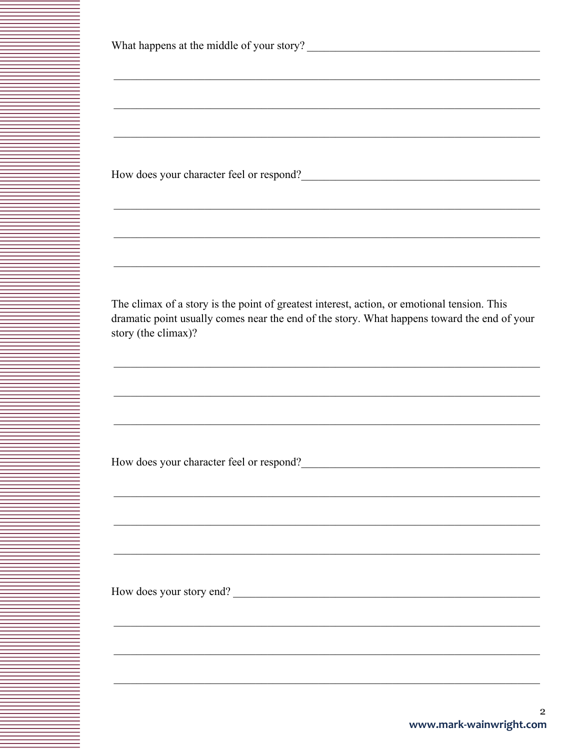| What happens at the middle of your story? |  |  |  |
|-------------------------------------------|--|--|--|
|-------------------------------------------|--|--|--|

How does your character feel or respond?

The climax of a story is the point of greatest interest, action, or emotional tension. This dramatic point usually comes near the end of the story. What happens toward the end of your story (the climax)?

How does your character feel or respond?<br>
<u>Letter and the contract of the set of the set of the set of the set of the set of the set of the set of the set of the set of the set of the set of the set of the set of the set o</u>

How does your story end?